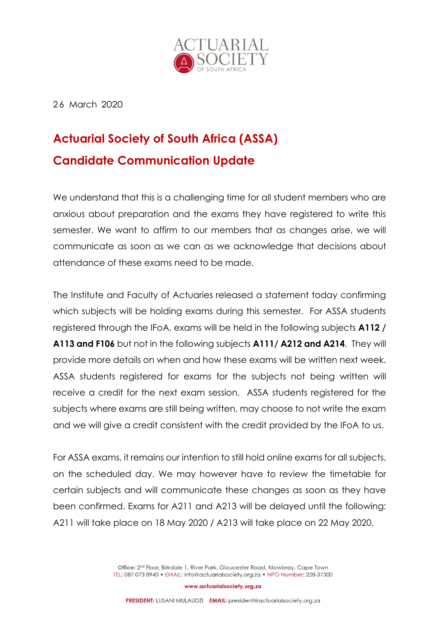

2 6 March 2020

## **Actuarial Society of South Africa (ASSA) Candidate Communication Update**

We understand that this is a challenging time for all student members who are anxious about preparation and the exams they have registered to write this semester. We want to affirm to our members that as changes arise, we will communicate as soon as we can as we acknowledge that decisions about attendance of these exams need to be made.

The Institute and Faculty of Actuaries released a statement today confirming which subjects will be holding exams during this semester. For ASSA students registered through the IFoA, exams will be held in the following subjects **A112 / A113 and F106** but not in the following subjects **A111/ A212 and A214**. They will provide more details on when and how these exams will be written next week. ASSA students registered for exams for the subjects not being written will receive a credit for the next exam session. ASSA students registered for the subjects where exams are still being written, may choose to not write the exam and we will give a credit consistent with the credit provided by the IFoA to us.

For ASSA exams, it remains our intention to still hold online exams for all subjects, on the scheduled day. We may however have to review the timetable for certain subjects and will communicate these changes as soon as they have been confirmed. Exams for A211 and A213 will be delayed until the following: A211 will take place on 18 May 2020 / A213 will take place on 22 May 2020.

> Office: 2<sup>nd</sup> Floor, Birkdale 1, River Park, Gloucester Road, Mowbray, Cape Town TEL: 087 073 8940 · EMAIL: info@actuarialsociety.org.za · NPO Number: 228-37300

> > www.actuarialsociety.org.za